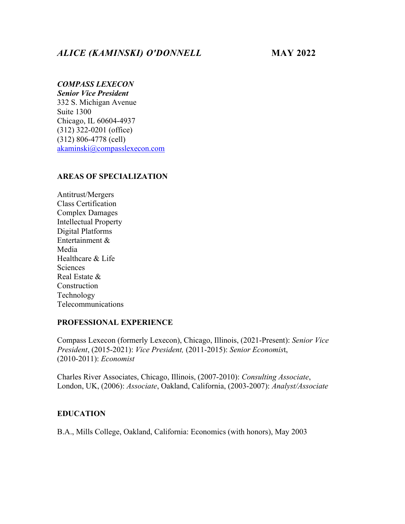# *ALICE (KAMINSKI) O'DONNELL* **MAY 2022**

## *COMPASS LEXECON*

*Senior Vice President* 332 S. Michigan Avenue Suite 1300 Chicago, IL 60604-4937 (312) 322-0201 (office) (312) 806-4778 (cell) [akaminski@compasslexecon.com](mailto:akaminski@compasslexecon.com)

### **AREAS OF SPECIALIZATION**

Antitrust/Mergers Class Certification Complex Damages Intellectual Property Digital Platforms Entertainment & Media Healthcare & Life **Sciences** Real Estate & Construction Technology Telecommunications

## **PROFESSIONAL EXPERIENCE**

Compass Lexecon (formerly Lexecon), Chicago, Illinois, (2021-Present): *Senior Vice President*, (2015-2021): *Vice President,* (2011-2015): *Senior Economis*t, (2010-2011): *Economist*

Charles River Associates, Chicago, Illinois, (2007-2010): *Consulting Associate*, London, UK, (2006): *Associate*, Oakland, California, (2003-2007): *Analyst/Associate*

## **EDUCATION**

B.A., Mills College, Oakland, California: Economics (with honors), May 2003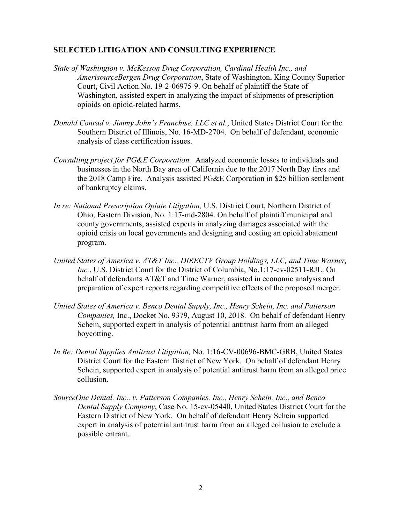### **SELECTED LITIGATION AND CONSULTING EXPERIENCE**

- *State of Washington v. McKesson Drug Corporation, Cardinal Health Inc., and AmerisourceBergen Drug Corporation*, State of Washington, King County Superior Court, Civil Action No. 19-2-06975-9. On behalf of plaintiff the State of Washington, assisted expert in analyzing the impact of shipments of prescription opioids on opioid-related harms.
- *Donald Conrad v. Jimmy John's Franchise, LLC et al.*, United States District Court for the Southern District of Illinois, No. 16-MD-2704. On behalf of defendant, economic analysis of class certification issues.
- *Consulting project for PG&E Corporation.* Analyzed economic losses to individuals and businesses in the North Bay area of California due to the 2017 North Bay fires and the 2018 Camp Fire. Analysis assisted PG&E Corporation in \$25 billion settlement of bankruptcy claims.
- *In re: National Prescription Opiate Litigation,* U.S. District Court, Northern District of Ohio, Eastern Division, No. 1:17-md-2804. On behalf of plaintiff municipal and county governments, assisted experts in analyzing damages associated with the opioid crisis on local governments and designing and costing an opioid abatement program.
- *United States of America v. AT&T Inc., DIRECTV Group Holdings, LLC, and Time Warner, Inc.*, U.S. District Court for the District of Columbia, No.1:17-cv-02511-RJL. On behalf of defendants AT&T and Time Warner, assisted in economic analysis and preparation of expert reports regarding competitive effects of the proposed merger.
- *United States of America v. Benco Dental Supply, Inc., Henry Schein, Inc. and Patterson Companies,* Inc., Docket No. 9379, August 10, 2018. On behalf of defendant Henry Schein, supported expert in analysis of potential antitrust harm from an alleged boycotting.
- *In Re: Dental Supplies Antitrust Litigation,* No. 1:16-CV-00696-BMC-GRB, United States District Court for the Eastern District of New York. On behalf of defendant Henry Schein, supported expert in analysis of potential antitrust harm from an alleged price collusion.
- *SourceOne Dental, Inc., v. Patterson Companies, Inc., Henry Schein, Inc., and Benco Dental Supply Company*, Case No. 15-cv-05440, United States District Court for the Eastern District of New York. On behalf of defendant Henry Schein supported expert in analysis of potential antitrust harm from an alleged collusion to exclude a possible entrant.